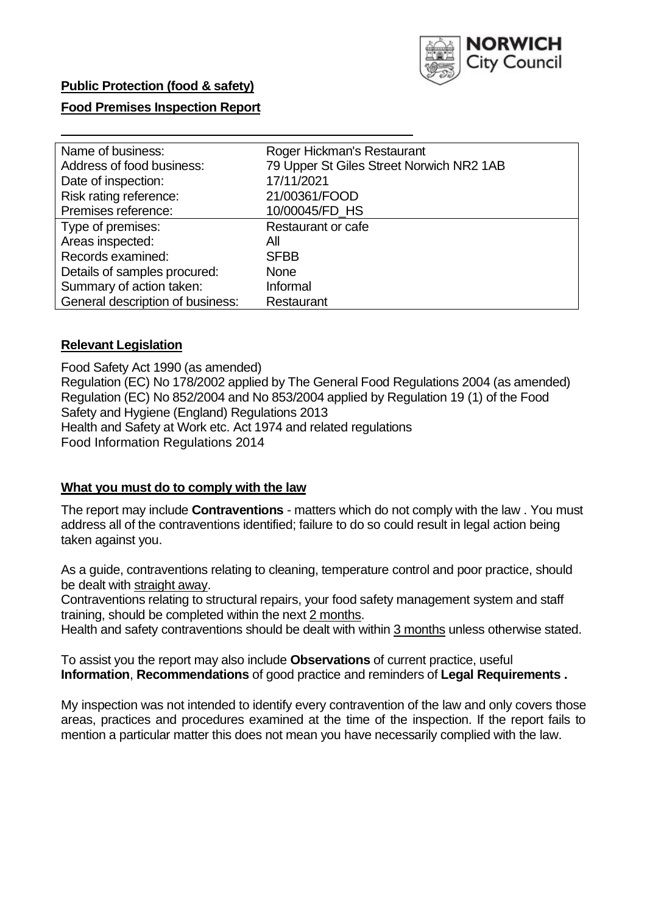

# **Public Protection (food & safety)**

### **Food Premises Inspection Report**

| Name of business:                | Roger Hickman's Restaurant               |
|----------------------------------|------------------------------------------|
| Address of food business:        | 79 Upper St Giles Street Norwich NR2 1AB |
| Date of inspection:              | 17/11/2021                               |
| Risk rating reference:           | 21/00361/FOOD                            |
| Premises reference:              | 10/00045/FD_HS                           |
| Type of premises:                | <b>Restaurant or cafe</b>                |
| Areas inspected:                 | All                                      |
| Records examined:                | <b>SFBB</b>                              |
| Details of samples procured:     | <b>None</b>                              |
| Summary of action taken:         | Informal                                 |
| General description of business: | Restaurant                               |

### **Relevant Legislation**

 Food Safety Act 1990 (as amended) Regulation (EC) No 178/2002 applied by The General Food Regulations 2004 (as amended) Regulation (EC) No 852/2004 and No 853/2004 applied by Regulation 19 (1) of the Food Safety and Hygiene (England) Regulations 2013 Health and Safety at Work etc. Act 1974 and related regulations Food Information Regulations 2014

### **What you must do to comply with the law**

 The report may include **Contraventions** - matters which do not comply with the law . You must address all of the contraventions identified; failure to do so could result in legal action being taken against you.

 As a guide, contraventions relating to cleaning, temperature control and poor practice, should be dealt with straight away.

 Contraventions relating to structural repairs, your food safety management system and staff training, should be completed within the next 2 months.

Health and safety contraventions should be dealt with within 3 months unless otherwise stated.

 To assist you the report may also include **Observations** of current practice, useful **Information**, **Recommendations** of good practice and reminders of **Legal Requirements .** 

 My inspection was not intended to identify every contravention of the law and only covers those areas, practices and procedures examined at the time of the inspection. If the report fails to mention a particular matter this does not mean you have necessarily complied with the law.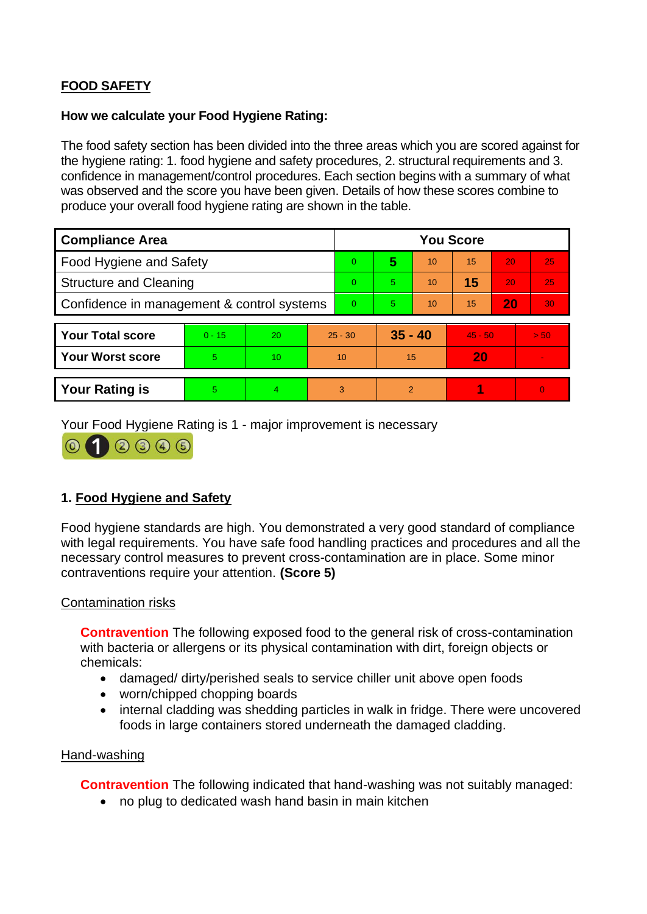# **FOOD SAFETY**

### **How we calculate your Food Hygiene Rating:**

 The food safety section has been divided into the three areas which you are scored against for the hygiene rating: 1. food hygiene and safety procedures, 2. structural requirements and 3. confidence in management/control procedures. Each section begins with a summary of what was observed and the score you have been given. Details of how these scores combine to produce your overall food hygiene rating are shown in the table.

| <b>Compliance Area</b>                     |          |           |           | <b>You Score</b> |               |    |           |    |                |  |  |
|--------------------------------------------|----------|-----------|-----------|------------------|---------------|----|-----------|----|----------------|--|--|
| <b>Food Hygiene and Safety</b>             |          |           | $\Omega$  | 5                | 10            | 15 | 20        | 25 |                |  |  |
| <b>Structure and Cleaning</b>              |          |           | $\Omega$  | 5.               | 10            | 15 | 20        | 25 |                |  |  |
| Confidence in management & control systems |          |           | $\Omega$  | 5.               | 10            | 15 | 20        | 30 |                |  |  |
|                                            |          |           |           |                  |               |    |           |    |                |  |  |
| <b>Your Total score</b>                    | $0 - 15$ | <b>20</b> | $25 - 30$ |                  | $35 - 40$     |    | $45 - 50$ |    | > 50           |  |  |
| <b>Your Worst score</b>                    | 5        | 10        | 10        |                  | 15            |    | 20        |    | $\blacksquare$ |  |  |
|                                            |          |           |           |                  |               |    |           |    |                |  |  |
| <b>Your Rating is</b>                      | 5        | 4         |           | 3                | $\mathcal{P}$ |    | 4         |    | $\overline{0}$ |  |  |

Your Food Hygiene Rating is 1 - major improvement is necessary



# **1. Food Hygiene and Safety**

 with legal requirements. You have safe food handling practices and procedures and all the Food hygiene standards are high. You demonstrated a very good standard of compliance necessary control measures to prevent cross-contamination are in place. Some minor contraventions require your attention. **(Score 5)** 

### Contamination risks

 with bacteria or allergens or its physical contamination with dirt, foreign objects or **Contravention** The following exposed food to the general risk of cross-contamination chemicals:

- damaged/ dirty/perished seals to service chiller unit above open foods
- worn/chipped chopping boards
- internal cladding was shedding particles in walk in fridge. There were uncovered foods in large containers stored underneath the damaged cladding.

### Hand-washing

**Contravention** The following indicated that hand-washing was not suitably managed:

• no plug to dedicated wash hand basin in main kitchen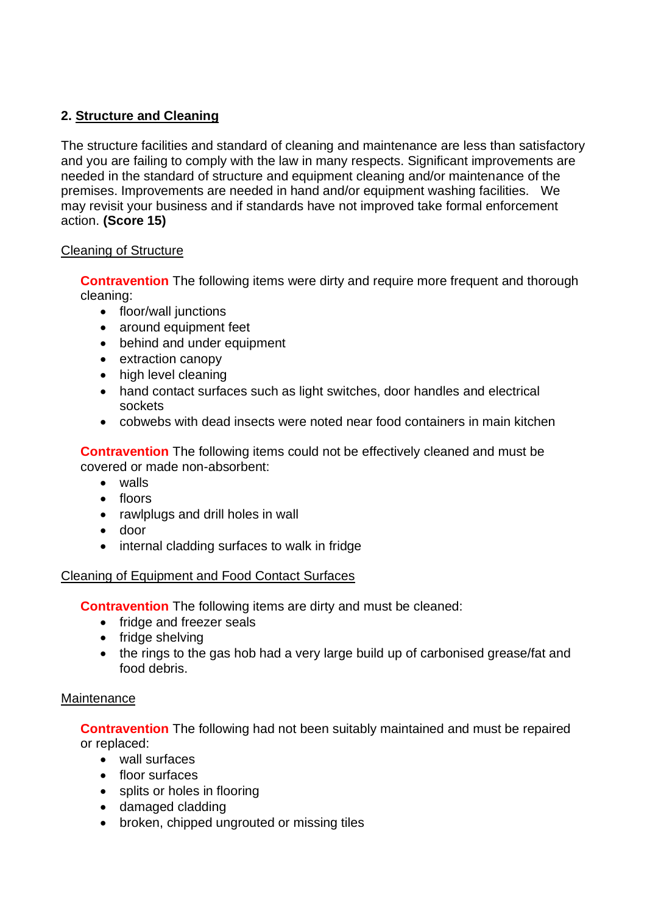# **2. Structure and Cleaning**

 premises. Improvements are needed in hand and/or equipment washing facilities. We The structure facilities and standard of cleaning and maintenance are less than satisfactory and you are failing to comply with the law in many respects. Significant improvements are needed in the standard of structure and equipment cleaning and/or maintenance of the may revisit your business and if standards have not improved take formal enforcement action. **(Score 15)** 

### Cleaning of Structure

**Contravention** The following items were dirty and require more frequent and thorough cleaning:

- floor/wall junctions
- around equipment feet
- behind and under equipment
- extraction canopy
- high level cleaning
- hand contact surfaces such as light switches, door handles and electrical sockets
- cobwebs with dead insects were noted near food containers in main kitchen

**Contravention** The following items could not be effectively cleaned and must be covered or made non-absorbent:

- walls
- floors
- rawlplugs and drill holes in wall
- door
- internal cladding surfaces to walk in fridge

# Cleaning of Equipment and Food Contact Surfaces

**Contravention** The following items are dirty and must be cleaned:

- fridge and freezer seals
- fridge shelving
- the rings to the gas hob had a very large build up of carbonised grease/fat and food debris.

### **Maintenance**

**Contravention** The following had not been suitably maintained and must be repaired or replaced:

- wall surfaces
- floor surfaces
- splits or holes in flooring
- damaged cladding
- broken, chipped ungrouted or missing tiles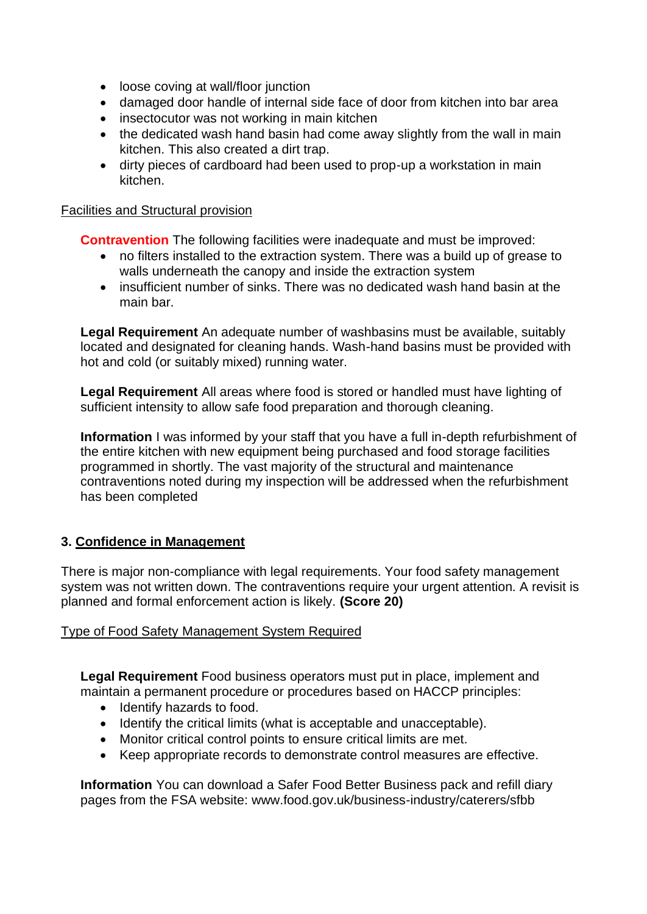- loose coving at wall/floor junction
- damaged door handle of internal side face of door from kitchen into bar area
- insectocutor was not working in main kitchen
- the dedicated wash hand basin had come away slightly from the wall in main kitchen. This also created a dirt trap.
- dirty pieces of cardboard had been used to prop-up a workstation in main kitchen.

### Facilities and Structural provision

**Contravention** The following facilities were inadequate and must be improved:

- • no filters installed to the extraction system. There was a build up of grease to walls underneath the canopy and inside the extraction system
- insufficient number of sinks. There was no dedicated wash hand basin at the main bar.

**Legal Requirement** An adequate number of washbasins must be available, suitably located and designated for cleaning hands. Wash-hand basins must be provided with hot and cold (or suitably mixed) running water.

**Legal Requirement** All areas where food is stored or handled must have lighting of sufficient intensity to allow safe food preparation and thorough cleaning.

 the entire kitchen with new equipment being purchased and food storage facilities **Information** I was informed by your staff that you have a full in-depth refurbishment of programmed in shortly. The vast majority of the structural and maintenance contraventions noted during my inspection will be addressed when the refurbishment has been completed

# **3. Confidence in Management**

 system was not written down. The contraventions require your urgent attention. A revisit is There is major non-compliance with legal requirements. Your food safety management planned and formal enforcement action is likely. **(Score 20)** 

### Type of Food Safety Management System Required

 maintain a permanent procedure or procedures based on HACCP principles: **Legal Requirement** Food business operators must put in place, implement and

- Identify hazards to food.
- Identify the critical limits (what is acceptable and unacceptable).
- Monitor critical control points to ensure critical limits are met.
- Keep appropriate records to demonstrate control measures are effective.

**Information** You can download a Safer Food Better Business pack and refill diary pages from the FSA website: <www.food.gov.uk/business-industry/caterers/sfbb>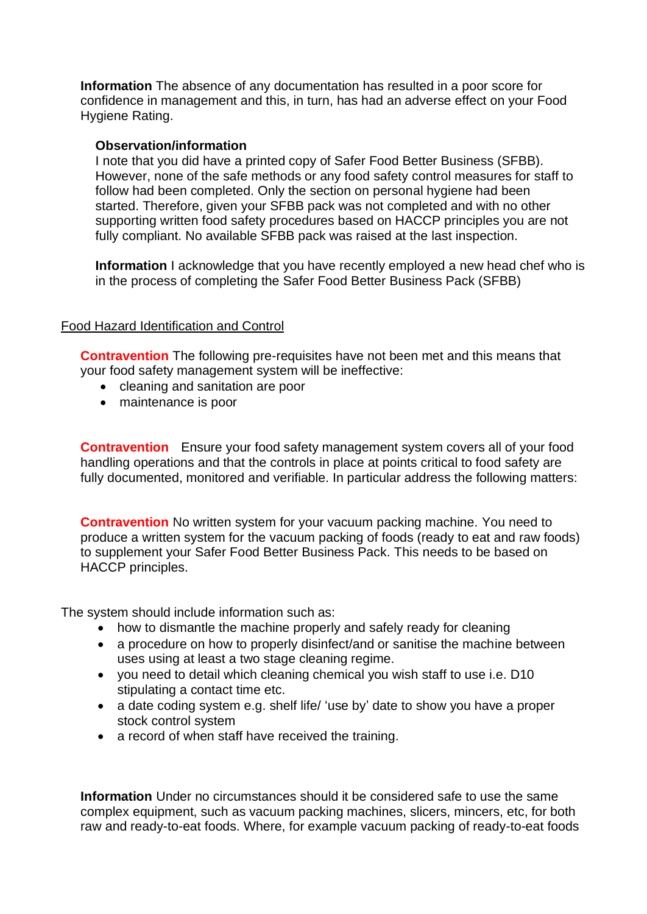**Information** The absence of any documentation has resulted in a poor score for confidence in management and this, in turn, has had an adverse effect on your Food Hygiene Rating.

### **Observation/information**

I note that you did have a printed copy of Safer Food Better Business (SFBB). However, none of the safe methods or any food safety control measures for staff to follow had been completed. Only the section on personal hygiene had been started. Therefore, given your SFBB pack was not completed and with no other supporting written food safety procedures based on HACCP principles you are not fully compliant. No available SFBB pack was raised at the last inspection.

**Information** I acknowledge that you have recently employed a new head chef who is in the process of completing the Safer Food Better Business Pack (SFBB)

### Food Hazard Identification and Control

**Contravention** The following pre-requisites have not been met and this means that your food safety management system will be ineffective:

- cleaning and sanitation are poor
- maintenance is poor

**Contravention** Ensure your food safety management system covers all of your food handling operations and that the controls in place at points critical to food safety are fully documented, monitored and verifiable. In particular address the following matters:

**Contravention** No written system for your vacuum packing machine. You need to produce a written system for the vacuum packing of foods (ready to eat and raw foods) to supplement your Safer Food Better Business Pack. This needs to be based on HACCP principles.

The system should include information such as:

- how to dismantle the machine properly and safely ready for cleaning
- a procedure on how to properly disinfect/and or sanitise the machine between uses using at least a two stage cleaning regime.
- you need to detail which cleaning chemical you wish staff to use i.e. D10 stipulating a contact time etc.
- stock control system • a date coding system e.g. shelf life/ 'use by' date to show you have a proper
- a record of when staff have received the training.

 complex equipment, such as vacuum packing machines, slicers, mincers, etc, for both **Information** Under no circumstances should it be considered safe to use the same raw and ready-to-eat foods. Where, for example vacuum packing of ready-to-eat foods